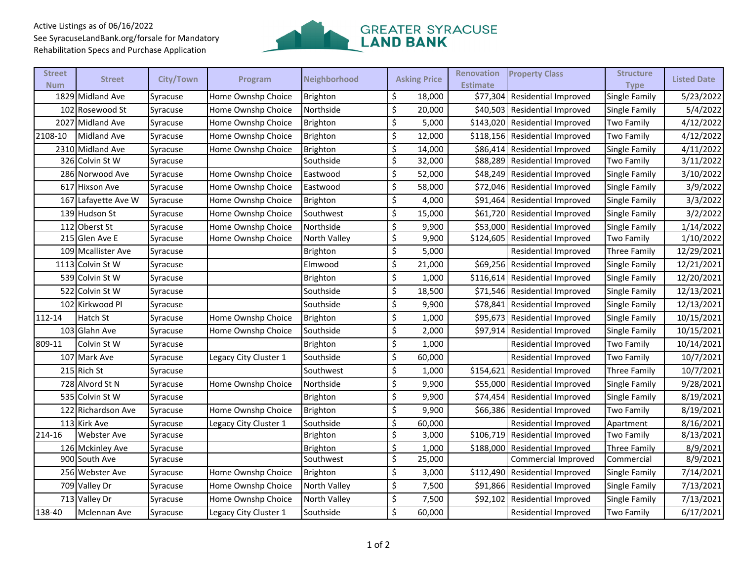## Active Listings as of 06/16/2022 See SyracuseLandBank.org/forsale for Mandatory Rehabilitation Specs and Purchase Application



| <b>Street</b><br><b>Num</b> | <b>Street</b>       | City/Town | Program               | Neighborhood    | <b>Asking Price</b> | <b>Renovation</b><br><b>Estimate</b> | <b>Property Class</b>          | <b>Structure</b><br><b>Type</b> | <b>Listed Date</b> |
|-----------------------------|---------------------|-----------|-----------------------|-----------------|---------------------|--------------------------------------|--------------------------------|---------------------------------|--------------------|
|                             | 1829 Midland Ave    | Syracuse  | Home Ownshp Choice    | <b>Brighton</b> | \$<br>18,000        | \$77,304                             | <b>Residential Improved</b>    | Single Family                   | 5/23/2022          |
|                             | 102 Rosewood St     | Syracuse  | Home Ownshp Choice    | Northside       | \$<br>20,000        |                                      | \$40,503 Residential Improved  | Single Family                   | 5/4/2022           |
|                             | 2027 Midland Ave    | Syracuse  | Home Ownshp Choice    | Brighton        | \$<br>5,000         |                                      | \$143,020 Residential Improved | <b>Two Family</b>               | 4/12/2022          |
| 2108-10                     | <b>Midland Ave</b>  | Syracuse  | Home Ownshp Choice    | <b>Brighton</b> | \$<br>12,000        |                                      | \$118,156 Residential Improved | <b>Two Family</b>               | 4/12/2022          |
|                             | 2310 Midland Ave    | Syracuse  | Home Ownshp Choice    | Brighton        | \$<br>14,000        | \$86,414                             | <b>Residential Improved</b>    | Single Family                   | 4/11/2022          |
|                             | 326 Colvin St W     | Syracuse  |                       | Southside       | \$<br>32,000        | \$88,289                             | <b>Residential Improved</b>    | Two Family                      | 3/11/2022          |
|                             | 286 Norwood Ave     | Syracuse  | Home Ownshp Choice    | Eastwood        | \$<br>52,000        | \$48,249                             | <b>Residential Improved</b>    | Single Family                   | 3/10/2022          |
|                             | 617 Hixson Ave      | Syracuse  | Home Ownshp Choice    | Eastwood        | \$<br>58,000        | \$72,046                             | <b>Residential Improved</b>    | Single Family                   | 3/9/2022           |
|                             | 167 Lafayette Ave W | Syracuse  | Home Ownshp Choice    | Brighton        | \$<br>4,000         | \$91,464                             | <b>Residential Improved</b>    | Single Family                   | 3/3/2022           |
|                             | 139 Hudson St       | Syracuse  | Home Ownshp Choice    | Southwest       | \$<br>15,000        |                                      | \$61,720 Residential Improved  | Single Family                   | 3/2/2022           |
|                             | 112 Oberst St       | Syracuse  | Home Ownshp Choice    | Northside       | \$<br>9,900         |                                      | \$53,000 Residential Improved  | Single Family                   | 1/14/2022          |
|                             | 215 Glen Ave E      | Syracuse  | Home Ownshp Choice    | North Valley    | \$<br>9,900         | \$124,605                            | <b>Residential Improved</b>    | Two Family                      | 1/10/2022          |
|                             | 109 Mcallister Ave  | Syracuse  |                       | <b>Brighton</b> | \$<br>5,000         |                                      | Residential Improved           | Three Family                    | 12/29/2021         |
|                             | 1113 Colvin St W    | Syracuse  |                       | Elmwood         | \$<br>21,000        | \$69,256                             | <b>Residential Improved</b>    | Single Family                   | 12/21/2021         |
|                             | 539 Colvin St W     | Syracuse  |                       | Brighton        | \$<br>1,000         | \$116,614                            | <b>Residential Improved</b>    | Single Family                   | 12/20/2021         |
|                             | 522 Colvin St W     | Syracuse  |                       | Southside       | \$<br>18,500        |                                      | \$71,546 Residential Improved  | Single Family                   | 12/13/2021         |
|                             | 102 Kirkwood Pl     | Syracuse  |                       | Southside       | \$<br>9,900         | \$78,841                             | <b>Residential Improved</b>    | Single Family                   | 12/13/2021         |
| 112-14                      | Hatch St            | Syracuse  | Home Ownshp Choice    | <b>Brighton</b> | \$<br>1,000         |                                      | \$95,673 Residential Improved  | Single Family                   | 10/15/2021         |
|                             | 103 Glahn Ave       | Syracuse  | Home Ownshp Choice    | Southside       | \$<br>2,000         | \$97,914                             | <b>Residential Improved</b>    | Single Family                   | 10/15/2021         |
| 809-11                      | Colvin St W         | Syracuse  |                       | Brighton        | \$<br>1,000         |                                      | Residential Improved           | Two Family                      | 10/14/2021         |
|                             | 107 Mark Ave        | Syracuse  | Legacy City Cluster 1 | Southside       | \$<br>60,000        |                                      | Residential Improved           | Two Family                      | 10/7/2021          |
|                             | 215 Rich St         | Syracuse  |                       | Southwest       | \$<br>1,000         | \$154,621                            | <b>Residential Improved</b>    | Three Family                    | 10/7/2021          |
|                             | 728 Alvord St N     | Syracuse  | Home Ownshp Choice    | Northside       | \$<br>9,900         |                                      | \$55,000 Residential Improved  | Single Family                   | 9/28/2021          |
|                             | 535 Colvin St W     | Syracuse  |                       | Brighton        | \$<br>9,900         | \$74,454                             | <b>Residential Improved</b>    | Single Family                   | 8/19/2021          |
|                             | 122 Richardson Ave  | Syracuse  | Home Ownshp Choice    | Brighton        | \$<br>9,900         | \$66,386                             | <b>Residential Improved</b>    | <b>Two Family</b>               | 8/19/2021          |
|                             | 113 Kirk Ave        | Syracuse  | Legacy City Cluster 1 | Southside       | \$<br>60,000        |                                      | <b>Residential Improved</b>    | Apartment                       | 8/16/2021          |
| 214-16                      | <b>Webster Ave</b>  | Syracuse  |                       | <b>Brighton</b> | \$<br>3,000         | \$106,719                            | Residential Improved           | Two Family                      | 8/13/2021          |
|                             | 126 Mckinley Ave    | Syracuse  |                       | <b>Brighton</b> | \$<br>1,000         | \$188,000                            | Residential Improved           | Three Family                    | 8/9/2021           |
|                             | 900 South Ave       | Syracuse  |                       | Southwest       | \$<br>25,000        |                                      | Commercial Improved            | Commercial                      | 8/9/2021           |
|                             | 256 Webster Ave     | Syracuse  | Home Ownshp Choice    | <b>Brighton</b> | \$<br>3,000         | \$112,490                            | <b>Residential Improved</b>    | Single Family                   | 7/14/2021          |
|                             | 709 Valley Dr       | Syracuse  | Home Ownshp Choice    | North Valley    | \$<br>7,500         | \$91,866                             | <b>Residential Improved</b>    | Single Family                   | 7/13/2021          |
|                             | 713 Valley Dr       | Syracuse  | Home Ownshp Choice    | North Valley    | \$<br>7,500         | \$92,102                             | <b>Residential Improved</b>    | Single Family                   | 7/13/2021          |
| 138-40                      | Mclennan Ave        | Syracuse  | Legacy City Cluster 1 | Southside       | \$<br>60,000        |                                      | Residential Improved           | Two Family                      | 6/17/2021          |